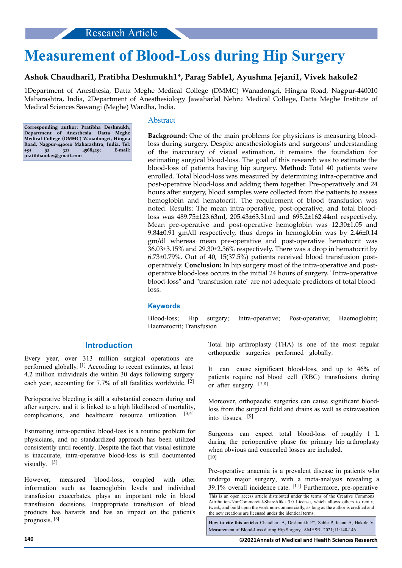# **Measurement of Blood-Loss during Hip Surgery**

## **Ashok Chaudhari1, Pratibha Deshmukh1\*, Parag Sable1, Ayushma Jejani1, Vivek hakole2**

1Department of Anesthesia, Datta Meghe Medical College (DMMC) Wanadongri, Hingna Road, Nagpur-440010 Maharashtra, India, 2Department of Anesthesiology Jawaharlal Nehru Medical College, Datta Meghe Institute of Medical Sciences Sawangi (Meghe) Wardha, India.

**Corresponding author: Pratibha Deshmukh, Department of Anesthesia, Datta Meghe Medical College (DMMC) Wanadongri, Hingna Road, Nagpur-440010 Maharashtra, India, Tel: +91 92 321 4568429; E-mail: pratibhauday@gmail.com**

#### Abstract

**Background:** One of the main problems for physicians is measuring bloodloss during surgery. Despite anesthesiologists and surgeons' understanding of the inaccuracy of visual estimation, it remains the foundation for estimating surgical blood-loss. The goal of this research was to estimate the blood-loss of patients having hip surgery. **Method:** Total 40 patients were enrolled. Total blood-loss was measured by determining intra-operative and post-operative blood-loss and adding them together. Pre-operatively and 24 hours after surgery, blood samples were collected from the patients to assess hemoglobin and hematocrit. The requirement of blood transfusion was noted. Results: The mean intra-operative, post-operative, and total bloodloss was 489.75±123.63ml, 205.43±63.31ml and 695.2±162.44ml respectively. Mean pre-operative and post-operative hemoglobin was 12.30±1.05 and 9.84±0.91 gm/dl respectively, thus drops in hemoglobin was by 2.46±0.14 gm/dl whereas mean pre-operative and post-operative hematocrit was 36.03±3.15% and 29.30±2.36% respectively. There was a drop in hematocrit by 6.73±0.79%. Out of 40, 15(37.5%) patients received blood transfusion postoperatively. **Conclusion:** In hip surgery most of the intra-operative and postoperative blood-loss occurs in the initial 24 hours of surgery. "Intra-operative blood-loss" and "transfusion rate" are not adequate predictors of total bloodloss.

#### **Keywords**

Blood-loss; Hip surgery; Intra-operative; Post-operative; Haemoglobin; Haematocrit; Transfusion

# **Introduction**

Every year, over 313 million surgical operations are performed globally. [1] According to recent estimates, at least 4.2 million individuals die within 30 days following surgery each year, accounting for 7.7% of all fatalities worldwide. [2]

Perioperative bleeding is still a substantial concern during and after surgery, and it is linked to a high likelihood of mortality, complications, and healthcare resource utilization. [3,4]

Estimating intra-operative blood-loss is a routine problem for physicians, and no standardized approach has been utilized consistently until recently. Despite the fact that visual estimate is inaccurate, intra-operative blood-loss is still documented visually. [5]

However, measured blood-loss, coupled with other information such as haemoglobin levels and individual transfusion exacerbates, plays an important role in blood transfusion decisions. Inappropriate transfusion of blood products has hazards and has an impact on the patient's prognosis. [6]

Total hip arthroplasty (THA) is one of the most regular orthopaedic surgeries performed globally.

It can cause significant blood-loss, and up to 46% of patients require red blood cell (RBC) transfusions during or after surgery. [7,8]

Moreover, orthopaedic surgeries can cause significant bloodloss from the surgical field and drains as well as extravasation into tissues. [9]

Surgeons can expect total blood-loss of roughly 1 L during the perioperative phase for primary hip arthroplasty when obvious and concealed losses are included. [10]

Pre-operative anaemia is a prevalent disease in patients who undergo major surgery, with a meta-analysis revealing a 39.1% overall incidence rate. [11] Furthermore, pre-operative

**How to cite this article:** Chaudhari A, Deshmukh P\*, Sable P, Jejani A, Hakole V. Measurement of Blood-Loss during Hip Surgery. AMHSR. 2021;11:140-146

**140 ©2021Annals of Medical and Health Sciences Research**

This is an open access article distributed under the terms of the Creative Commons Attribution-NonCommercial-ShareAlike 3.0 License, which allows others to remix, tweak, and build upon the work non‑commercially, as long as the author is credited and the new creations are licensed under the identical terms.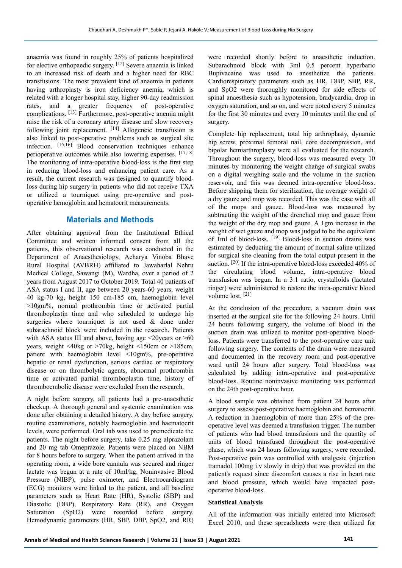anaemia was found in roughly 25% of patients hospitalized for elective orthopaedic surgery. [12] Severe anaemia is linked to an increased risk of death and a higher need for RBC transfusions. The most prevalent kind of anaemia in patients having arthroplasty is iron deficiency anemia, which is related with a longer hospital stay, higher 90-day readmission rates, and a greater frequency of post-operative complications. [13] Furthermore, post-operative anemia might raise the risk of a coronary artery disease and slow recovery following joint replacement.  $[14]$  Allogeneic transfusion is also linked to post-operative problems such as surgical site infection. [15,16] Blood conservation techniques enhance perioperative outcomes while also lowering expenses. [17,18] The monitoring of intra-operative blood-loss is the first step in reducing blood-loss and enhancing patient care. As a result, the current research was designed to quantify bloodloss during hip surgery in patients who did not receive TXA or utilized a tourniquet using pre-operative and postoperative hemoglobin and hematocrit measurements.

## **Materials and Methods**

After obtaining approval from the Institutional Ethical Committee and written informed consent from all the patients, this observational research was conducted in the Department of Anaesthesiology, Acharya Vinoba Bhave Rural Hospital (AVBRH) affiliated to Jawaharlal Nehru Medical College, Sawangi (M), Wardha, over a period of 2 years from August 2017 to October 2019. Total 40 patients of ASA status I and II, age between 20 years-60 years, weight 40 kg-70 kg, height 150 cm-185 cm, haemoglobin level >10gm%, normal prothrombin time or activated partial thromboplastin time and who scheduled to undergo hip surgeries where tourniquet is not used  $\&$  done under subarachnoid block were included in the research. Patients with ASA status III and above, having age  $\leq 20$ years or  $\geq 60$ years, weight <40kg or >70kg, height <150cm or >185cm, patient with haemoglobin level <10gm%, pre-operative hepatic or renal dysfunction, serious cardiac or respiratory disease or on thrombolytic agents, abnormal prothrombin time or activated partial thromboplastin time, history of thromboembolic disease were excluded from the research.

A night before surgery, all patients had a pre-anaesthetic checkup. A thorough general and systemic examination was done after obtaining a detailed history. A day before surgery, routine examinations, notably haemoglobin and haematocrit levels, were performed. Oral tab was used to premedicate the patients. The night before surgery, take 0.25 mg alprazolam and 20 mg tab Omeprazole. Patients were placed on NBM for 8 hours before to surgery. When the patient arrived in the operating room, a wide bore cannula was secured and ringer lactate was begun at a rate of 10ml/kg. Noninvasive Blood Pressure (NIBP), pulse oximeter, and Electrocardiogram (ECG) monitors were linked to the patient, and all baseline parameters such as Heart Rate (HR), Systolic (SBP) and Diastolic (DBP), Respiratory Rate (RR), and Oxygen Saturation (SpO2) were recorded before surgery. Hemodynamic parameters (HR, SBP, DBP, SpO2, and RR) were recorded shortly before to anaesthetic induction. Subarachnoid block with 3ml 0.5 percent hyperbaric Bupivacaine was used to anesthetize the patients. Cardiorespiratory parameters such as HR, DBP, SBP, RR, and SpO2 were thoroughly monitored for side effects of spinal anaesthesia such as hypotension, bradycardia, drop in oxygen saturation, and so on, and were noted every 5 minutes for the first 30 minutes and every 10 minutes until the end of surgery.

Complete hip replacement, total hip arthroplasty, dynamic hip screw, proximal femoral nail, core decompression, and bipolar hemiarthroplasty were all evaluated for the research. Throughout the surgery, blood-loss was measured every 10 minutes by monitoring the weight change of surgical swabs on a digital weighing scale and the volume in the suction reservoir, and this was deemed intra-operative blood-loss. Before shipping them for sterilization, the average weight of a dry gauze and mop was recorded. This was the case with all of the mops and gauze. Blood-loss was measured by subtracting the weight of the drenched mop and gauze from the weight of the dry mop and gauze. A 1gm increase in the weight of wet gauze and mop was judged to be the equivalent of 1ml of blood-loss. [19] Blood-loss in suction drains was estimated by deducting the amount of normal saline utilized for surgical site cleaning from the total output present in the suction. <sup>[20]</sup> If the intra-operative blood-loss exceeded 40% of the circulating blood volume, intra-operative blood transfusion was begun. In a 3:1 ratio, crystalloids (lactated ringer) were administered to restore the intra-operative blood volume lost. [21]

At the conclusion of the procedure, a vacuum drain was inserted at the surgical site for the following 24 hours. Until 24 hours following surgery, the volume of blood in the suction drain was utilized to monitor post-operative bloodloss. Patients were transferred to the post-operative care unit following surgery. The contents of the drain were measured and documented in the recovery room and post-operative ward until 24 hours after surgery. Total blood-loss was calculated by adding intra-operative and post-operative blood-loss. Routine noninvasive monitoring was performed on the 24th post-operative hour.

A blood sample was obtained from patient 24 hours after surgery to assess post-operative haemoglobin and hematocrit. A reduction in haemoglobin of more than 25% of the preoperative level was deemed a transfusion trigger. The number of patients who had blood transfusions and the quantity of units of blood transfused throughout the post-operative phase, which was 24 hours following surgery, were recorded. Post-operative pain was controlled with analgesic (injection tramadol 100mg i.v slowly in drip) that was provided on the patient's request since discomfort causes a rise in heart rate and blood pressure, which would have impacted postoperative blood-loss.

#### **Statistical Analysis**

All of the information was initially entered into Microsoft Excel 2010, and these spreadsheets were then utilized for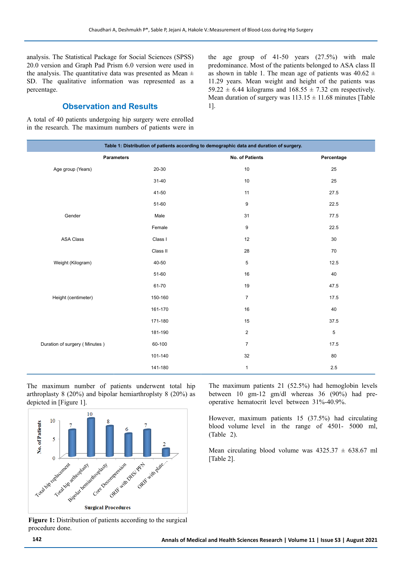analysis. The Statistical Package for Social Sciences (SPSS) 20.0 version and Graph Pad Prism 6.0 version were used in the analysis. The quantitative data was presented as Mean  $\pm$ SD. The qualitative information was represented as a percentage.

### **Observation and Results**

A total of 40 patients undergoing hip surgery were enrolled in the research. The maximum numbers of patients were in the age group of 41-50 years (27.5%) with male predominance. Most of the patients belonged to ASA class II as shown in table 1. The mean age of patients was  $40.62 \pm$ 11.29 years. Mean weight and height of the patients was 59.22  $\pm$  6.44 kilograms and 168.55  $\pm$  7.32 cm respectively. Mean duration of surgery was  $113.15 \pm 11.68$  minutes [Table 1].

| Table 1: Distribution of patients according to demographic data and duration of surgery. |           |                 |             |  |  |
|------------------------------------------------------------------------------------------|-----------|-----------------|-------------|--|--|
| <b>Parameters</b>                                                                        |           | No. of Patients | Percentage  |  |  |
| Age group (Years)                                                                        | $20 - 30$ | 10              | 25          |  |  |
|                                                                                          | $31 - 40$ | 10              | 25          |  |  |
|                                                                                          | 41-50     | 11              | 27.5        |  |  |
|                                                                                          | 51-60     | 9               | 22.5        |  |  |
| Gender                                                                                   | Male      | 31              | 77.5        |  |  |
|                                                                                          | Female    | 9               | 22.5        |  |  |
| <b>ASA Class</b>                                                                         | Class I   | 12              | $30\,$      |  |  |
|                                                                                          | Class II  | 28              | 70          |  |  |
| Weight (Kilogram)                                                                        | 40-50     | 5               | 12.5        |  |  |
|                                                                                          | 51-60     | 16              | 40          |  |  |
|                                                                                          | 61-70     | 19              | 47.5        |  |  |
| Height (centimeter)                                                                      | 150-160   | $\overline{7}$  | 17.5        |  |  |
|                                                                                          | 161-170   | 16              | 40          |  |  |
|                                                                                          | 171-180   | 15              | 37.5        |  |  |
|                                                                                          | 181-190   | $\overline{2}$  | $\,$ 5 $\,$ |  |  |
| Duration of surgery (Minutes)                                                            | 60-100    | $\overline{7}$  | 17.5        |  |  |
|                                                                                          | 101-140   | 32              | 80          |  |  |
|                                                                                          | 141-180   | $\mathbf{1}$    | $2.5\,$     |  |  |

The maximum number of patients underwent total hip arthroplasty 8 (20%) and bipolar hemiarthroplsty 8 (20%) as depicted in [Figure 1].



Figure 1: Distribution of patients according to the surgical procedure done.

The maximum patients 21 (52.5%) had hemoglobin levels between 10 gm-12 gm/dl whereas 36 (90%) had preoperative hematocrit level between 31%-40.9%.

However, maximum patients 15 (37.5%) had circulating blood volume level in the range of 4501- 5000 ml, (Table 2).

Mean circulating blood volume was  $4325.37 \pm 638.67$  ml [Table 2].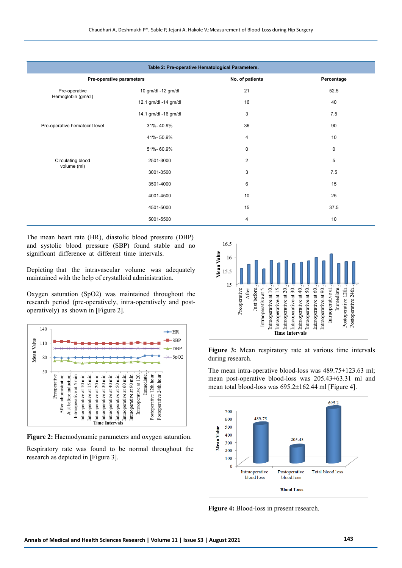| Table 2: Pre-operative Hematological Parameters. |                      |                 |             |  |  |
|--------------------------------------------------|----------------------|-----------------|-------------|--|--|
| Pre-operative parameters                         |                      | No. of patients | Percentage  |  |  |
| Pre-operative<br>Hemoglobin (gm/dl)              | 10 gm/dl -12 gm/dl   | 21              | 52.5        |  |  |
|                                                  | 12.1 gm/dl -14 gm/dl | 16              | 40          |  |  |
|                                                  | 14.1 gm/dl -16 gm/dl | 3               | 7.5         |  |  |
| Pre-operative hematocrit level                   | 31%-40.9%            | 36              | 90          |  |  |
|                                                  | 41%-50.9%            | 4               | 10          |  |  |
|                                                  | 51%-60.9%            | $\mathbf 0$     | $\mathbf 0$ |  |  |
| Circulating blood<br>volume (ml)                 | 2501-3000            | $\overline{2}$  | $\,$ 5 $\,$ |  |  |
|                                                  | 3001-3500            | 3               | 7.5         |  |  |
|                                                  | 3501-4000            | 6               | 15          |  |  |
|                                                  | 4001-4500            | 10              | 25          |  |  |
|                                                  | 4501-5000            | 15              | 37.5        |  |  |
|                                                  | 5001-5500            | 4               | 10          |  |  |

The mean heart rate (HR), diastolic blood pressure (DBP) and systolic blood pressure (SBP) found stable and no significant difference at different time intervals.

Depicting that the intravascular volume was adequately maintained with the help of crystalloid administration.

Oxygen saturation (SpO2) was maintained throughout the research period (pre-operatively, intra-operatively and postoperatively) as shown in [Figure 2].



**Figure 2:** Haemodynamic parameters and oxygen saturation.

Respiratory rate was found to be normal throughout the research as depicted in [Figure 3].



**Figure 3:** Mean respiratory rate at various time intervals during research.

The mean intra-operative blood-loss was 489.75±123.63 ml; mean post-operative blood-loss was 205.43±63.31 ml and mean total blood-loss was 695.2±162.44 ml [Figure 4].



**Figure 4:** Blood-loss in present research.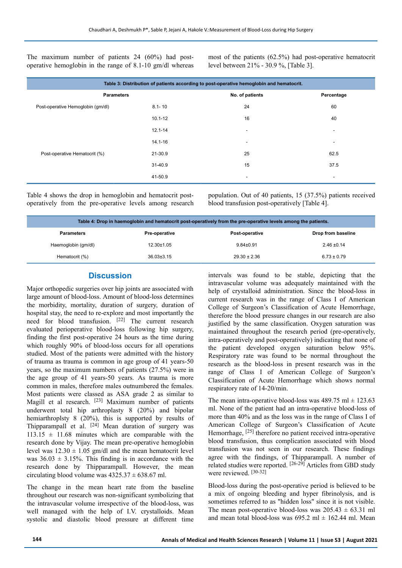The maximum number of patients 24 (60%) had postoperative hemoglobin in the range of 8.1-10 gm/dl whereas most of the patients (62.5%) had post-operative hematocrit level between 21% - 30.9 %, [Table 3].

| Table 3: Distribution of patients according to post-operative hemoglobin and hematocrit. |                          |                          |  |  |  |  |
|------------------------------------------------------------------------------------------|--------------------------|--------------------------|--|--|--|--|
|                                                                                          | No. of patients          | Percentage               |  |  |  |  |
| $8.1 - 10$                                                                               | 24                       | 60                       |  |  |  |  |
| $10.1 - 12$                                                                              | 16                       | 40                       |  |  |  |  |
| $12.1 - 14$                                                                              | $\overline{\phantom{a}}$ | $\overline{\phantom{a}}$ |  |  |  |  |
| 14.1-16                                                                                  | $\overline{\phantom{a}}$ | $\overline{\phantom{a}}$ |  |  |  |  |
| 21-30.9                                                                                  | 25                       | 62.5                     |  |  |  |  |
| 31-40.9                                                                                  | 15                       | 37.5                     |  |  |  |  |
| 41-50.9                                                                                  | $\blacksquare$           | $\overline{\phantom{a}}$ |  |  |  |  |
|                                                                                          |                          |                          |  |  |  |  |

Table 4 shows the drop in hemoglobin and hematocrit postoperatively from the pre-operative levels among research population. Out of 40 patients, 15 (37.5%) patients received blood transfusion post-operatively [Table 4].

| Table 4: Drop in haemoglobin and hematocrit post-operatively from the pre-operative levels among the patients. |                      |                  |                    |  |  |
|----------------------------------------------------------------------------------------------------------------|----------------------|------------------|--------------------|--|--|
| <b>Parameters</b>                                                                                              | <b>Pre-operative</b> | Post-operative   | Drop from baseline |  |  |
| Haemoglobin (gm/dl)                                                                                            | $12.30 \pm 1.05$     | $9.84 \pm 0.91$  | $2.46 \pm 0.14$    |  |  |
| Hematocrit (%)                                                                                                 | $36.03 \pm 3.15$     | $29.30 \pm 2.36$ | $6.73 \pm 0.79$    |  |  |

#### **Discussion**

Major orthopedic surgeries over hip joints are associated with large amount of blood-loss. Amount of blood-loss determines the morbidity, mortality, duration of surgery, duration of hospital stay, the need to re-explore and most importantly the need for blood transfusion. [22] The current research evaluated perioperative blood-loss following hip surgery, finding the first post-operative 24 hours as the time during which roughly 90% of blood-loss occurs for all operations studied. Most of the patients were admitted with the history of trauma as trauma is common in age group of 41 years-50 years, so the maximum numbers of patients (27.5%) were in the age group of 41 years-50 years. As trauma is more common in males, therefore males outnumbered the females. Most patients were classed as ASA grade 2 as similar to Magill et al research. [23] Maximum number of patients underwent total hip arthroplasty 8 (20%) and bipolar hemiarthroplsty 8 (20%), this is supported by results of Thipparampall et al.  $[24]$  Mean duration of surgery was  $113.15 \pm 11.68$  minutes which are comparable with the research done by Vijay. The mean pre-operative hemoglobin level was  $12.30 \pm 1.05$  gm/dl and the mean hematocrit level was  $36.03 \pm 3.15\%$ . This finding is in accordance with the research done by Thipparampall. However, the mean circulating blood volume was  $4325.37 \pm 638.67$  ml.

The change in the mean heart rate from the baseline throughout our research was non-significant symbolizing that the intravascular volume irrespective of the blood-loss, was well managed with the help of I.V. crystalloids. Mean systolic and diastolic blood pressure at different time intervals was found to be stable, depicting that the intravascular volume was adequately maintained with the help of crystalloid administration. Since the blood-loss in current research was in the range of Class I of American College of Surgeon's Classification of Acute Hemorrhage, therefore the blood pressure changes in our research are also justified by the same classification. Oxygen saturation was maintained throughout the research period (pre-operatively, intra-operatively and post-operatively) indicating that none of the patient developed oxygen saturation below 95%. Respiratory rate was found to be normal throughout the research as the blood-loss in present research was in the range of Class I of American College of Surgeon's Classification of Acute Hemorrhage which shows normal respiratory rate of 14-20/min.

The mean intra-operative blood-loss was  $489.75$  ml  $\pm$  123.63 ml. None of the patient had an intra-operative blood-loss of more than 40% and as the loss was in the range of Class I of American College of Surgeon's Classification of Acute Hemorrhage, <sup>[25]</sup> therefore no patient received intra-operative blood transfusion, thus complication associated with blood transfusion was not seen in our research. These findings agree with the findings, of Thipparampall. A number of related studies were reported. [26-29] Articles from GBD study were reviewed. [30-32]

Blood-loss during the post-operative period is believed to be a mix of ongoing bleeding and hyper fibrinolysis, and is sometimes referred to as "hidden loss" since it is not visible. The mean post-operative blood-loss was  $205.43 \pm 63.31$  ml and mean total blood-loss was  $695.2$  ml  $\pm$  162.44 ml. Mean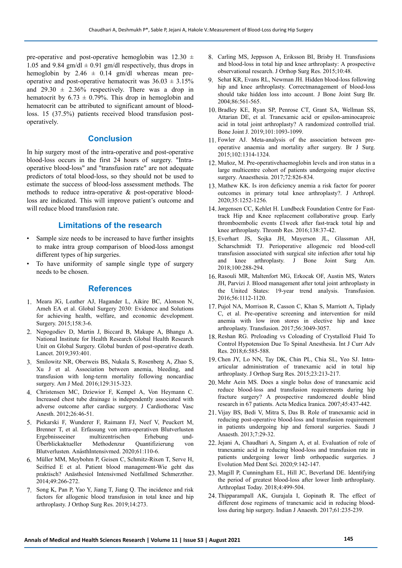pre-operative and post-operative hemoglobin was  $12.30 \pm 12.30$ 1.05 and 9.84 gm/dl  $\pm$  0.91 gm/dl respectively, thus drops in hemoglobin by 2.46  $\pm$  0.14 gm/dl whereas mean preoperative and post-operative hematocrit was  $36.03 \pm 3.15\%$ and  $29.30 \pm 2.36\%$  respectively. There was a drop in hematocrit by  $6.73 \pm 0.79$ %. This drop in hemoglobin and hematocrit can be attributed to significant amount of bloodloss. 15 (37.5%) patients received blood transfusion postoperatively.

## **Conclusion**

In hip surgery most of the intra-operative and post-operative blood-loss occurs in the first 24 hours of surgery. "Intraoperative blood-loss" and "transfusion rate" are not adequate predictors of total blood-loss, so they should not be used to estimate the success of blood-loss assessment methods. The methods to reduce intra-operative & post-operative bloodloss are indicated. This will improve patient's outcome and will reduce blood transfusion rate.

# **Limitations of the research**

- Sample size needs to be increased to have further insights to make intra group comparison of blood-loss amongst different types of hip surgeries.
- To have uniformity of sample single type of surgery needs to be chosen.

#### **References**

- 1. Meara JG, Leather AJ, Hagander L, Aikire BC, Alonson N, Ameh EA et al. Global Surgery 2030: Evidence and Solutions for achieving health, welfare, and economic development. Surgery. 2015;158:3-6.
- 2. Nepogodiev D, Martin J, Biccard B, Makupe A, Bhangu A. National Institute for Health Research Global Health Research Unit on Global Surgery. Global burden of post-operative death. Lancet. 2019;393:401.
- 3. Smilowitz NR, Oberweis BS, Nukala S, Rosenberg A, Zhao S, Xu J et al. Association between anemia, bleeding, and transfusion with long-term mortality following noncardiac surgery. Am J Med. 2016;129:315-323.
- 4. Christensen MC, Dziewior F, Kempel A, Von Heymann C. Increased chest tube drainage is independently associated with adverse outcome after cardiac surgery. J Cardiothorac Vasc Anesth. 2012;26:46-51.
- 5. Piekarski F, Wunderer F, Raimann FJ, Neef V, Peuckert M, Brenner T, et al. Erfassung von intra-operativen Blutverlusten Ergebnisseeiner multizentrischen Erhebung und-Überblickaktueller Methodenzur Quantifizierung von Blutverlusten. AnästhIntensivmed. 2020;61:110-6.
- 6. Müller MM, Meybohm P, Geisen C, Schmitz-Rixen T, Serve H, Seifried E et al. Patient blood management-Wie geht das praktisch? Anästhesiol Intensivmed Notfallmed Schmerzther. 2014;49:266-272.
- 7. Song K, Pan P, Yao Y, Jiang T, Jiang Q. The incidence and risk factors for allogenic blood transfusion in total knee and hip arthroplasty. J Orthop Surg Res. 2019;14:273.
- 8. Carling MS, Jeppsson A, Eriksson BI, Brisby H. Transfusions and blood-loss in total hip and knee arthroplasty: A prospective observational research. J Orthop Surg Res. 2015;10:48.
- 9. Sehat KR, Evans RL, Newman JH. Hidden blood-loss following hip and knee arthroplasty. Correctmanagement of blood-loss should take hidden loss into account. J Bone Joint Surg Br. 2004;86:561-565.
- 10. Bradley KE, Ryan SP, Penrose CT, Grant SA, Wellman SS, Attarian DE, et al. Tranexamic acid or epsilon-aminocaproic acid in total joint arthroplasty? A randomized controlled trial. Bone Joint J. 2019;101:1093-1099.
- 11. Fowler AJ. Meta-analysis of the association between preoperative anaemia and mortality after surgery. Br J Surg. 2015;102:1314-1324.
- 12. Muñoz, M. Pre-operativehaemoglobin levels and iron status in a large multicentre cohort of patients undergoing major elective surgery. Anaesthesia. 2017;72:826-834.
- 13. Mathew KK. Is iron deficiency anemia a risk factor for poorer outcomes in primary total knee arthroplasty?. J Arthropl. 2020;35:1252-1256.
- 14.Jørgensen CC, Kehlet H. Lundbeck Foundation Centre for Fasttrack Hip and Knee replacement collaborative group. Early thromboembolic events £1week after fast-track total hip and knee arthroplasty. Thromb Res. 2016;138:37-42.
- 15. Everhart JS, Sojka JH, Mayerson JL, Glassman AH, Scharschmidt TJ. Perioperative allogeneic red blood-cell transfusion associated with surgical site infection after total hip and knee arthroplasty. J Bone Joint Surg Am. 2018;100:288-294.
- 16. Rasouli MR, Maltenfort MG, Erkocak OF, Austin MS, Waters JH, Parvizi J. Blood management after total joint arthroplasty in the United States: 19-year trend analysis. Transfusion. 2016;56:1112-1120.
- 17. Pujol NA, Morrison R, Casson C, Khan S, Marriott A, Tiplady C, et al. Pre-operative screening and intervention for mild anemia with low iron stores in elective hip and knee arthroplasty. Transfusion. 2017;56:3049-3057.
- 18. Reshan RG. Preloading vs Coloading of Crystalloid Fluid To Control Hypotension Due To Spinal Anesthesia. Int J Curr Adv Res. 2018;6:585-588.
- 19. Chen JY, Lo NN, Tay DK, Chin PL, Chia SL, Yeo SJ. Intraarticular administration of tranexamic acid in total hip arthroplasty. J Orthop Surg Res. 2015;23:213-217.
- 20. Mehr Aein MS. Does a single bolus dose of tranexamic acid reduce blood-loss and transfusion requirements during hip fracture surgery? A prospective randomezed double blind research in 67 patients. Acta Medica Iranica. 2007;45:437-442.
- 21. Vijay BS, Bedi V, Mitra S, Das B. Role of tranexamic acid in reducing post-operative blood-loss and transfusion requirement in patients undergoing hip and femoral surgeries. Saudi J Anaesth. 2013;7:29-32.
- 22.Jejani A, Chaudhari A, Singam A, et al. Evaluation of role of tranexamic acid in reducing blood-loss and transfusion rate in patients undergoing lower limb orthopaedic surgeries. J Evolution Med Dent Sci. 2020;9:142-147.
- 23. Magill P, Cunningham EL, Hill JC, Beverland DE. Identifying the period of greatest blood-loss after lower limb arthroplasty. Arthroplast Today. 2018;4:499-504.
- 24. Thipparampall AK, Gurajala I, Gopinath R. The effect of different dose regimens of tranexamic acid in reducing bloodloss during hip surgery. Indian J Anaesth. 2017;61:235-239.